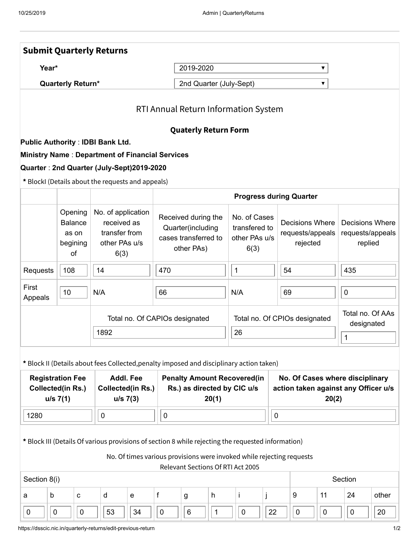|                                                                                                                                                                                                                  | <b>Submit Quarterly Returns</b>                                   |                                                            |                                                                     |                                                                            |                                                                                |              |                                                        |                                                                                  |    |             |                                                 |                                |                                                |       |  |
|------------------------------------------------------------------------------------------------------------------------------------------------------------------------------------------------------------------|-------------------------------------------------------------------|------------------------------------------------------------|---------------------------------------------------------------------|----------------------------------------------------------------------------|--------------------------------------------------------------------------------|--------------|--------------------------------------------------------|----------------------------------------------------------------------------------|----|-------------|-------------------------------------------------|--------------------------------|------------------------------------------------|-------|--|
| Year*                                                                                                                                                                                                            |                                                                   |                                                            |                                                                     |                                                                            | 2019-2020<br>▼                                                                 |              |                                                        |                                                                                  |    |             |                                                 |                                |                                                |       |  |
| <b>Quarterly Return*</b>                                                                                                                                                                                         |                                                                   |                                                            |                                                                     |                                                                            | 2nd Quarter (July-Sept)<br>▼                                                   |              |                                                        |                                                                                  |    |             |                                                 |                                |                                                |       |  |
| RTI Annual Return Information System                                                                                                                                                                             |                                                                   |                                                            |                                                                     |                                                                            |                                                                                |              |                                                        |                                                                                  |    |             |                                                 |                                |                                                |       |  |
|                                                                                                                                                                                                                  | <b>Quaterly Return Form</b>                                       |                                                            |                                                                     |                                                                            |                                                                                |              |                                                        |                                                                                  |    |             |                                                 |                                |                                                |       |  |
|                                                                                                                                                                                                                  | <b>Public Authority: IDBI Bank Ltd.</b>                           |                                                            |                                                                     |                                                                            |                                                                                |              |                                                        |                                                                                  |    |             |                                                 |                                |                                                |       |  |
| <b>Ministry Name: Department of Financial Services</b><br>Quarter: 2nd Quarter (July-Sept)2019-2020                                                                                                              |                                                                   |                                                            |                                                                     |                                                                            |                                                                                |              |                                                        |                                                                                  |    |             |                                                 |                                |                                                |       |  |
| * BlockI (Details about the requests and appeals)                                                                                                                                                                |                                                                   |                                                            |                                                                     |                                                                            |                                                                                |              |                                                        |                                                                                  |    |             |                                                 |                                |                                                |       |  |
|                                                                                                                                                                                                                  |                                                                   | <b>Progress during Quarter</b>                             |                                                                     |                                                                            |                                                                                |              |                                                        |                                                                                  |    |             |                                                 |                                |                                                |       |  |
|                                                                                                                                                                                                                  | Opening<br><b>Balance</b><br>as on<br>begining<br>of              | 6(3)                                                       | No. of application<br>received as<br>transfer from<br>other PAs u/s |                                                                            | Received during the<br>Quarter(including<br>cases transferred to<br>other PAs) |              | No. of Cases<br>transfered to<br>other PAs u/s<br>6(3) |                                                                                  |    |             | Decisions Where<br>requests/appeals<br>rejected |                                | Decisions Where<br>requests/appeals<br>replied |       |  |
| Requests                                                                                                                                                                                                         | 108                                                               | 14                                                         |                                                                     | 470                                                                        |                                                                                |              | $\mathbf 1$                                            |                                                                                  |    | 54          |                                                 |                                | 435                                            |       |  |
| First<br>Appeals                                                                                                                                                                                                 | 10                                                                | N/A                                                        |                                                                     | 66                                                                         |                                                                                |              | N/A                                                    |                                                                                  |    | 69          |                                                 |                                | $\pmb{0}$                                      |       |  |
|                                                                                                                                                                                                                  |                                                                   |                                                            |                                                                     | Total no. Of CAPIOs designated                                             |                                                                                |              |                                                        | Total no. Of CPIOs designated                                                    |    |             |                                                 | Total no. Of AAs<br>designated |                                                |       |  |
|                                                                                                                                                                                                                  |                                                                   | 1892                                                       |                                                                     |                                                                            |                                                                                |              |                                                        | 26                                                                               |    |             |                                                 |                                | $\mathbf 1$                                    |       |  |
| * Block II (Details about fees Collected, penalty imposed and disciplinary action taken)                                                                                                                         |                                                                   |                                                            |                                                                     |                                                                            |                                                                                |              |                                                        |                                                                                  |    |             |                                                 |                                |                                                |       |  |
|                                                                                                                                                                                                                  | <b>Registration Fee</b><br><b>Collected(in Rs.)</b><br>$u/s$ 7(1) | <b>Addl. Fee</b><br><b>Collected(in Rs.)</b><br>$u/s$ 7(3) |                                                                     | <b>Penalty Amount Recovered(in</b><br>Rs.) as directed by CIC u/s<br>20(1) |                                                                                |              |                                                        | No. Of Cases where disciplinary<br>action taken against any Officer u/s<br>20(2) |    |             |                                                 |                                |                                                |       |  |
| 1280<br>$\pmb{0}$                                                                                                                                                                                                |                                                                   |                                                            |                                                                     | $\pmb{0}$                                                                  |                                                                                |              |                                                        |                                                                                  |    | $\mathbf 0$ |                                                 |                                |                                                |       |  |
| * Block III (Details Of various provisions of section 8 while rejecting the requested information)<br>No. Of times various provisions were invoked while rejecting requests<br>Relevant Sections Of RTI Act 2005 |                                                                   |                                                            |                                                                     |                                                                            |                                                                                |              |                                                        |                                                                                  |    |             |                                                 |                                |                                                |       |  |
| Section 8(i)<br>Section                                                                                                                                                                                          |                                                                   |                                                            |                                                                     |                                                                            |                                                                                |              |                                                        |                                                                                  |    |             |                                                 |                                |                                                |       |  |
| b<br>a                                                                                                                                                                                                           | $\mathbf{C}$                                                      | d                                                          | e                                                                   | f                                                                          | g                                                                              | h            |                                                        | İ.                                                                               |    |             | 9                                               | 11                             | 24                                             | other |  |
| $\pmb{0}$<br>0                                                                                                                                                                                                   | $\pmb{0}$                                                         | 53                                                         | 34                                                                  | $\mathbf 0$                                                                | $\,6\,$                                                                        | $\mathbf{1}$ |                                                        | $\pmb{0}$                                                                        | 22 |             | $\mathbf 0$                                     | $\pmb{0}$                      | $\pmb{0}$                                      | 20    |  |